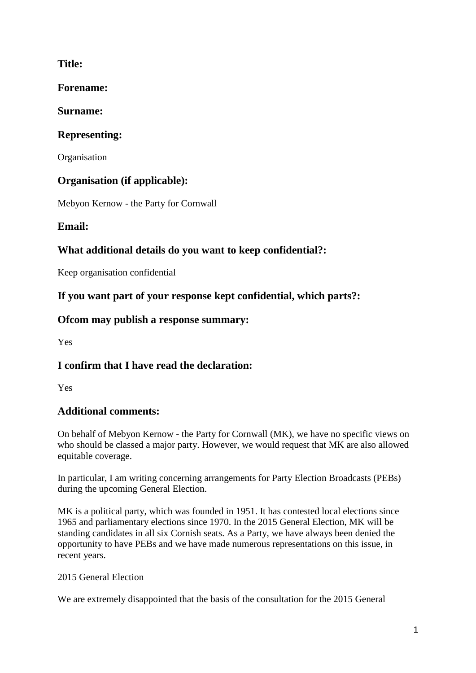### **Title:**

**Forename:**

### **Surname:**

# **Representing:**

**Organisation** 

## **Organisation (if applicable):**

Mebyon Kernow - the Party for Cornwall

## **Email:**

## **What additional details do you want to keep confidential?:**

Keep organisation confidential

### **If you want part of your response kept confidential, which parts?:**

### **Ofcom may publish a response summary:**

Yes

## **I confirm that I have read the declaration:**

Yes

## **Additional comments:**

On behalf of Mebyon Kernow - the Party for Cornwall (MK), we have no specific views on who should be classed a major party. However, we would request that MK are also allowed equitable coverage.

In particular, I am writing concerning arrangements for Party Election Broadcasts (PEBs) during the upcoming General Election.

MK is a political party, which was founded in 1951. It has contested local elections since 1965 and parliamentary elections since 1970. In the 2015 General Election, MK will be standing candidates in all six Cornish seats. As a Party, we have always been denied the opportunity to have PEBs and we have made numerous representations on this issue, in recent years.

### 2015 General Election

We are extremely disappointed that the basis of the consultation for the 2015 General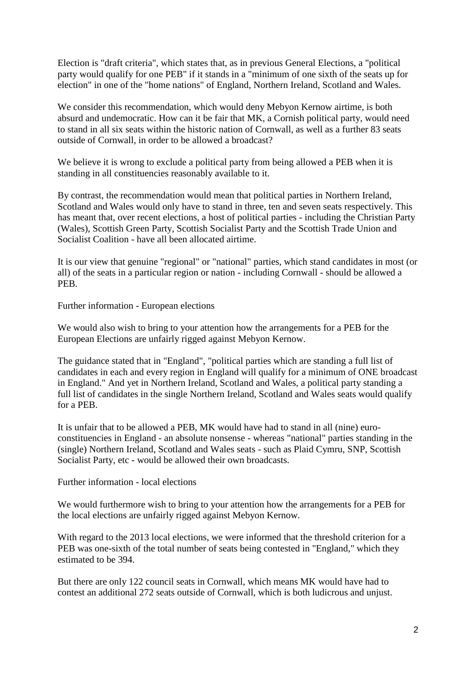Election is "draft criteria", which states that, as in previous General Elections, a "political party would qualify for one PEB" if it stands in a "minimum of one sixth of the seats up for election" in one of the "home nations" of England, Northern Ireland, Scotland and Wales.

We consider this recommendation, which would deny Mebyon Kernow airtime, is both absurd and undemocratic. How can it be fair that MK, a Cornish political party, would need to stand in all six seats within the historic nation of Cornwall, as well as a further 83 seats outside of Cornwall, in order to be allowed a broadcast?

We believe it is wrong to exclude a political party from being allowed a PEB when it is standing in all constituencies reasonably available to it.

By contrast, the recommendation would mean that political parties in Northern Ireland, Scotland and Wales would only have to stand in three, ten and seven seats respectively. This has meant that, over recent elections, a host of political parties - including the Christian Party (Wales), Scottish Green Party, Scottish Socialist Party and the Scottish Trade Union and Socialist Coalition - have all been allocated airtime.

It is our view that genuine "regional" or "national" parties, which stand candidates in most (or all) of the seats in a particular region or nation - including Cornwall - should be allowed a PEB.

Further information - European elections

We would also wish to bring to your attention how the arrangements for a PEB for the European Elections are unfairly rigged against Mebyon Kernow.

The guidance stated that in "England", "political parties which are standing a full list of candidates in each and every region in England will qualify for a minimum of ONE broadcast in England." And yet in Northern Ireland, Scotland and Wales, a political party standing a full list of candidates in the single Northern Ireland, Scotland and Wales seats would qualify for a PEB.

It is unfair that to be allowed a PEB, MK would have had to stand in all (nine) euroconstituencies in England - an absolute nonsense - whereas "national" parties standing in the (single) Northern Ireland, Scotland and Wales seats - such as Plaid Cymru, SNP, Scottish Socialist Party, etc - would be allowed their own broadcasts.

Further information - local elections

We would furthermore wish to bring to your attention how the arrangements for a PEB for the local elections are unfairly rigged against Mebyon Kernow.

With regard to the 2013 local elections, we were informed that the threshold criterion for a PEB was one-sixth of the total number of seats being contested in "England," which they estimated to be 394.

But there are only 122 council seats in Cornwall, which means MK would have had to contest an additional 272 seats outside of Cornwall, which is both ludicrous and unjust.